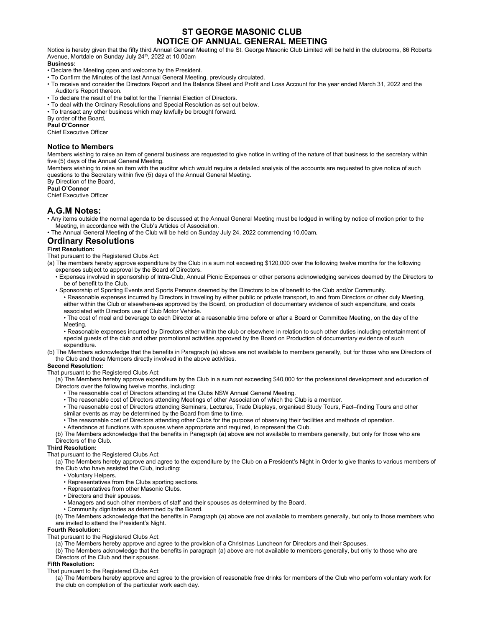# ST GEORGE MASONIC CLUB NOTICE OF ANNUAL GENERAL MEETING

Notice is hereby given that the fifty third Annual General Meeting of the St. George Masonic Club Limited will be held in the clubrooms, 86 Roberts Avenue, Mortdale on Sunday July 24<sup>th</sup>, 2022 at 10.00am

#### Business:

- Declare the Meeting open and welcome by the President.
- To Confirm the Minutes of the last Annual General Meeting, previously circulated.
- To receive and consider the Directors Report and the Balance Sheet and Profit and Loss Account for the year ended March 31, 2022 and the Auditor's Report thereon.
- To declare the result of the ballot for the Triennial Election of Directors.
- To deal with the Ordinary Resolutions and Special Resolution as set out below.
- To transact any other business which may lawfully be brought forward.

By order of the Board,

Paul O'Connor

Chief Executive Officer

#### Notice to Members

Members wishing to raise an item of general business are requested to give notice in writing of the nature of that business to the secretary within five (5) days of the Annual General Meeting.

Members wishing to raise an item with the auditor which would require a detailed analysis of the accounts are requested to give notice of such questions to the Secretary within five (5) days of the Annual General Meeting.

By Direction of the Board, Paul O'Connor

Chief Executive Officer

#### A.G.M Notes:

- Any items outside the normal agenda to be discussed at the Annual General Meeting must be lodged in writing by notice of motion prior to the Meeting, in accordance with the Club's Articles of Association.
- The Annual General Meeting of the Club will be held on Sunday July 24, 2022 commencing 10.00am.

## Ordinary Resolutions

#### First Resolution:

That pursuant to the Registered Clubs Act:

- (a) The members hereby approve expenditure by the Club in a sum not exceeding \$120,000 over the following twelve months for the following expenses subject to approval by the Board of Directors.
	- Expenses involved in sponsorship of Intra-Club, Annual Picnic Expenses or other persons acknowledging services deemed by the Directors to be of benefit to the Club.
	- Sponsorship of Sporting Events and Sports Persons deemed by the Directors to be of benefit to the Club and/or Community. • Reasonable expenses incurred by Directors in traveling by either public or private transport, to and from Directors or other duly Meeting, either within the Club or elsewhere-as approved by the Board, on production of documentary evidence of such expenditure, and costs associated with Directors use of Club Motor Vehicle.
		- The cost of meal and beverage to each Director at a reasonable time before or after a Board or Committee Meeting, on the day of the Meeting.
	- Reasonable expenses incurred by Directors either within the club or elsewhere in relation to such other duties including entertainment of special guests of the club and other promotional activities approved by the Board on Production of documentary evidence of such expenditure.
- (b) The Members acknowledge that the benefits in Paragraph (a) above are not available to members generally, but for those who are Directors of the Club and those Members directly involved in the above activities.

#### Second Resolution:

That pursuant to the Registered Clubs Act:

(a) The Members hereby approve expenditure by the Club in a sum not exceeding \$40,000 for the professional development and education of Directors over the following twelve months, including:

- The reasonable cost of Directors attending at the Clubs NSW Annual General Meeting.
- The reasonable cost of Directors attending Meetings of other Association of which the Club is a member.

• The reasonable cost of Directors attending Seminars, Lectures, Trade Displays, organised Study Tours, Fact–finding Tours and other similar events as may be determined by the Board from time to time.

- The reasonable cost of Directors attending other Clubs for the purpose of observing their facilities and methods of operation.
- Attendance at functions with spouses where appropriate and required, to represent the Club.

(b) The Members acknowledge that the benefits in Paragraph (a) above are not available to members generally, but only for those who are Directors of the Club.

### Third Resolution:

That pursuant to the Registered Clubs Act:

(a) The Members hereby approve and agree to the expenditure by the Club on a President's Night in Order to give thanks to various members of the Club who have assisted the Club, including:

- Voluntary Helpers.
- Representatives from the Clubs sporting sections.
- Representatives from other Masonic Clubs.
- Directors and their spouses.
- Managers and such other members of staff and their spouses as determined by the Board.
- Community dignitaries as determined by the Board.

(b) The Members acknowledge that the benefits in Paragraph (a) above are not available to members generally, but only to those members who are invited to attend the President's Night.

#### Fourth Resolution:

That pursuant to the Registered Clubs Act:

(a) The Members hereby approve and agree to the provision of a Christmas Luncheon for Directors and their Spouses.

(b) The Members acknowledge that the benefits in paragraph (a) above are not available to members generally, but only to those who are Directors of the Club and their spouses.

#### Fifth Resolution:

That pursuant to the Registered Clubs Act:

(a) The Members hereby approve and agree to the provision of reasonable free drinks for members of the Club who perform voluntary work for the club on completion of the particular work each day.